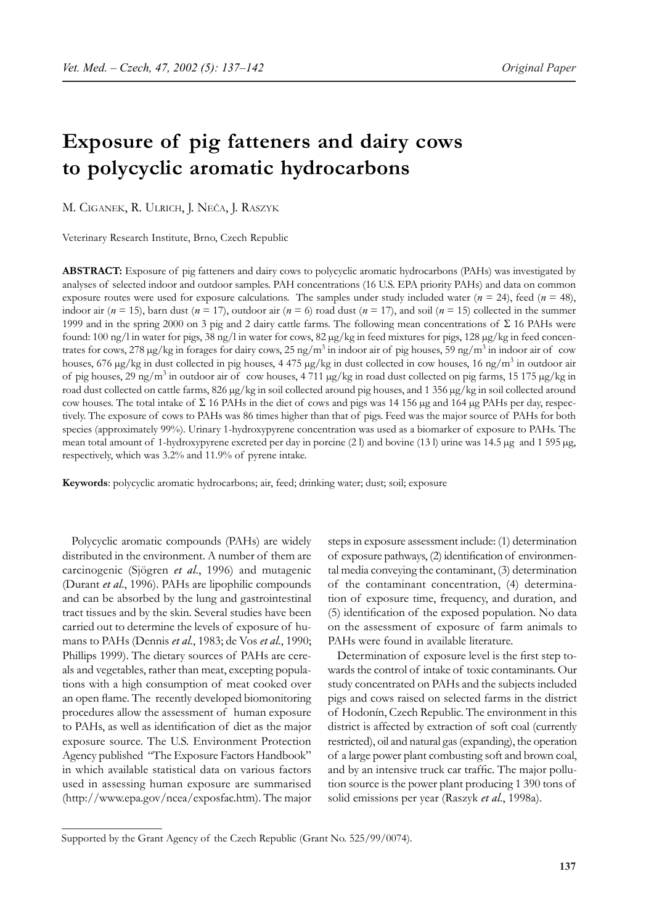# **Exposure of pig fatteners and dairy cows to polycyclic aromatic hydrocarbons**

M. CIGANEK, R. ULRICH, J. NEČA, J. RASZYK

Veterinary Research Institute, Brno, Czech Republic

**ABSTRACT:** Exposure of pig fatteners and dairy cows to polycyclic aromatic hydrocarbons (PAHs) was investigated by analyses of selected indoor and outdoor samples. PAH concentrations (16 U.S. EPA priority PAHs) and data on common exposure routes were used for exposure calculations. The samples under study included water (*n* = 24), feed (*n* = 48), indoor air  $(n = 15)$ , barn dust  $(n = 17)$ , outdoor air  $(n = 6)$  road dust  $(n = 17)$ , and soil  $(n = 15)$  collected in the summer 1999 and in the spring 2000 on 3 pig and 2 dairy cattle farms. The following mean concentrations of Σ 16 PAHs were found: 100 ng/l in water for pigs, 38 ng/l in water for cows, 82 µg/kg in feed mixtures for pigs, 128 µg/kg in feed concentrates for cows, 278 µg/kg in forages for dairy cows, 25 ng/m<sup>3</sup> in indoor air of pig houses, 59 ng/m<sup>3</sup> in indoor air of cow houses, 676 µg/kg in dust collected in pig houses, 4 475 µg/kg in dust collected in cow houses, 16 ng/m<sup>3</sup> in outdoor air of pig houses, 29 ng/m<sup>3</sup> in outdoor air of cow houses, 4 711 µg/kg in road dust collected on pig farms, 15 175 µg/kg in road dust collected on cattle farms, 826 µg/kg in soil collected around pig houses, and 1 356 µg/kg in soil collected around cow houses. The total intake of Σ 16 PAHs in the diet of cows and pigs was 14 156 µg and 164 µg PAHs per day, respectively. The exposure of cows to PAHs was 86 times higher than that of pigs. Feed was the major source of PAHs for both species (approximately 99%). Urinary 1-hydroxypyrene concentration was used as a biomarker of exposure to PAHs. The mean total amount of 1-hydroxypyrene excreted per day in porcine (2 l) and bovine (13 l) urine was 14.5 µg and 1 595 µg, respectively, which was 3.2% and 11.9% of pyrene intake.

**Keywords**: polycyclic aromatic hydrocarbons; air, feed; drinking water; dust; soil; exposure

Polycyclic aromatic compounds (PAHs) are widely distributed in the environment. A number of them are carcinogenic (Sjögren *et al*., 1996) and mutagenic (Durant *et al*., 1996). PAHs are lipophilic compounds and can be absorbed by the lung and gastrointestinal tract tissues and by the skin. Several studies have been carried out to determine the levels of exposure of humans to PAHs (Dennis *et al*., 1983; de Vos *et al*., 1990; Phillips 1999). The dietary sources of PAHs are cereals and vegetables, rather than meat, excepting populations with a high consumption of meat cooked over an open flame. The recently developed biomonitoring procedures allow the assessment of human exposure to PAHs, as well as identification of diet as the major exposure source. The U.S. Environment Protection Agency published "The Exposure Factors Handbook" in which available statistical data on various factors used in assessing human exposure are summarised (http://www.epa.gov/ncea/exposfac.htm). The major

steps in exposure assessment include: (1) determination of exposure pathways, (2) identification of environmental media conveying the contaminant, (3) determination of the contaminant concentration, (4) determination of exposure time, frequency, and duration, and (5) identification of the exposed population. No data on the assessment of exposure of farm animals to PAHs were found in available literature.

Determination of exposure level is the first step towards the control of intake of toxic contaminants. Our study concentrated on PAHs and the subjects included pigs and cows raised on selected farms in the district of Hodonín, Czech Republic. The environment in this district is affected by extraction of soft coal (currently restricted), oil and natural gas (expanding), the operation of a large power plant combusting soft and brown coal, and by an intensive truck car traffic. The major pollution source is the power plant producing 1 390 tons of solid emissions per year (Raszyk *et al*., 1998a).

Supported by the Grant Agency of the Czech Republic (Grant No. 525/99/0074).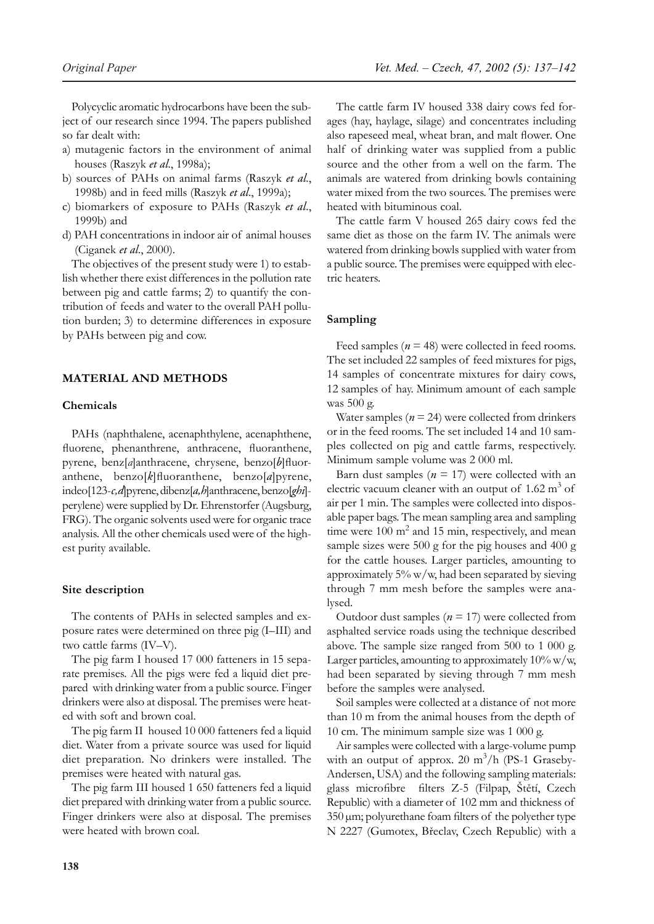Polycyclic aromatic hydrocarbons have been the subject of our research since 1994. The papers published so far dealt with:

- a) mutagenic factors in the environment of animal houses (Raszyk *et al*., 1998a);
- b) sources of PAHs on animal farms (Raszyk *et al*., 1998b) and in feed mills (Raszyk *et al*., 1999a);
- c) biomarkers of exposure to PAHs (Raszyk *et al*., 1999b) and
- d) PAH concentrations in indoor air of animal houses (Ciganek *et al*., 2000).

The objectives of the present study were 1) to establish whether there exist differences in the pollution rate between pig and cattle farms; 2) to quantify the contribution of feeds and water to the overall PAH pollution burden; 3) to determine differences in exposure by PAHs between pig and cow.

# **MATERIAL AND METHODS**

# **Chemicals**

PAHs (naphthalene, acenaphthylene, acenaphthene, fluorene, phenanthrene, anthracene, fluoranthene, pyrene, benz[*a*]anthracene, chrysene, benzo[*b*]fluoranthene, benzo[*k*]fluoranthene, benzo[*a*]pyrene, indeo[123-*c,d*]pyrene, dibenz[*a,h*]anthracene, benzo[*ghi*] perylene) were supplied by Dr. Ehrenstorfer (Augsburg, FRG). The organic solvents used were for organic trace analysis. All the other chemicals used were of the highest purity available.

#### **Site description**

The contents of PAHs in selected samples and exposure rates were determined on three pig (I–III) and two cattle farms (IV–V).

The pig farm I housed 17 000 fatteners in 15 separate premises. All the pigs were fed a liquid diet prepared with drinking water from a public source. Finger drinkers were also at disposal. The premises were heated with soft and brown coal.

The pig farm II housed 10 000 fatteners fed a liquid diet. Water from a private source was used for liquid diet preparation. No drinkers were installed. The premises were heated with natural gas.

The pig farm III housed 1 650 fatteners fed a liquid diet prepared with drinking water from a public source. Finger drinkers were also at disposal. The premises were heated with brown coal.

The cattle farm IV housed 338 dairy cows fed forages (hay, haylage, silage) and concentrates including also rapeseed meal, wheat bran, and malt flower. One half of drinking water was supplied from a public source and the other from a well on the farm. The animals are watered from drinking bowls containing water mixed from the two sources. The premises were heated with bituminous coal.

The cattle farm V housed 265 dairy cows fed the same diet as those on the farm IV. The animals were watered from drinking bowls supplied with water from a public source. The premises were equipped with electric heaters.

## **Sampling**

Feed samples ( $n = 48$ ) were collected in feed rooms. The set included 22 samples of feed mixtures for pigs, 14 samples of concentrate mixtures for dairy cows, 12 samples of hay. Minimum amount of each sample was 500 g.

Water samples  $(n = 24)$  were collected from drinkers or in the feed rooms. The set included 14 and 10 samples collected on pig and cattle farms, respectively. Minimum sample volume was 2 000 ml.

Barn dust samples  $(n = 17)$  were collected with an electric vacuum cleaner with an output of  $1.62 \text{ m}^3$  of air per 1 min. The samples were collected into disposable paper bags. The mean sampling area and sampling time were  $100 \text{ m}^2$  and  $15 \text{ min}$ , respectively, and mean sample sizes were 500 g for the pig houses and 400 g for the cattle houses. Larger particles, amounting to approximately 5% w/w, had been separated by sieving through 7 mm mesh before the samples were analysed.

Outdoor dust samples (*n* = 17) were collected from asphalted service roads using the technique described above. The sample size ranged from 500 to 1 000 g. Larger particles, amounting to approximately 10% w/w, had been separated by sieving through 7 mm mesh before the samples were analysed.

Soil samples were collected at a distance of not more than 10 m from the animal houses from the depth of 10 cm. The minimum sample size was 1 000 g.

Air samples were collected with a large-volume pump with an output of approx. 20  $m^3/h$  (PS-1 Graseby-Andersen, USA) and the following sampling materials: glass microfibre filters Z-5 (Filpap, Štětí, Czech Republic) with a diameter of 102 mm and thickness of 350 µm; polyurethane foam filters of the polyether type N 2227 (Gumotex, Břeclav, Czech Republic) with a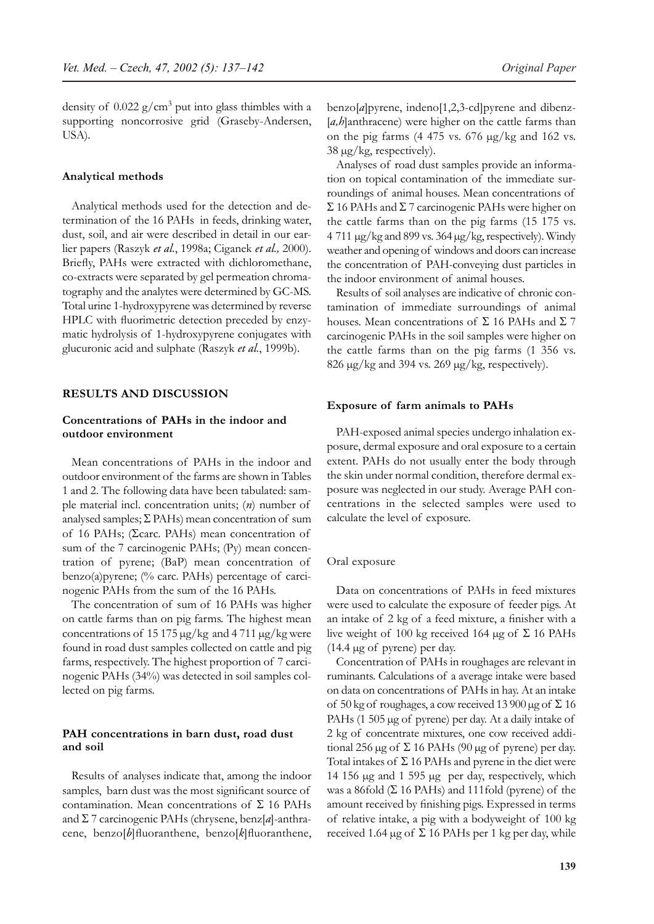density of  $0.022$  g/cm<sup>3</sup> put into glass thimbles with a supporting noncorrosive grid (Graseby-Andersen, USA).

## **Analytical methods**

Analytical methods used for the detection and determination of the 16 PAHs in feeds, drinking water, dust, soil, and air were described in detail in our earlier papers (Raszyk *et al.*, 1998a; Ciganek *et al.,* 2000). Briefly, PAHs were extracted with dichloromethane, co-extracts were separated by gel permeation chromatography and the analytes were determined by GC-MS. Total urine 1-hydroxypyrene was determined by reverse HPLC with fluorimetric detection preceded by enzymatic hydrolysis of 1-hydroxypyrene conjugates with glucuronic acid and sulphate (Raszyk *et al.*, 1999b).

## **RESULTS AND DISCUSSION**

# **Concentrations of PAHs in the indoor and outdoor environment**

Mean concentrations of PAHs in the indoor and outdoor environment of the farms are shown in Tables 1 and 2. The following data have been tabulated: sample material incl. concentration units; (*n*) number of analysed samples;  $\Sigma$  PAHs) mean concentration of sum of 16 PAHs; (Σcarc. PAHs) mean concentration of sum of the 7 carcinogenic PAHs; (Py) mean concentration of pyrene; (BaP) mean concentration of benzo(a)pyrene; (% carc. PAHs) percentage of carcinogenic PAHs from the sum of the 16 PAHs.

The concentration of sum of 16 PAHs was higher on cattle farms than on pig farms. The highest mean concentrations of 15 175 µg/kg and 4 711 µg/kg were found in road dust samples collected on cattle and pig farms, respectively. The highest proportion of 7 carcinogenic PAHs (34%) was detected in soil samples collected on pig farms.

## **PAH concentrations in barn dust, road dust and soil**

Results of analyses indicate that, among the indoor samples, barn dust was the most significant source of contamination. Mean concentrations of  $\Sigma$  16 PAHs and Σ 7 carcinogenic PAHs (chrysene, benz[*a*]-anthracene, benzo[*b*]fluoranthene, benzo[*k*]fluoranthene, benzo[*a*]pyrene, indeno[1,2,3-cd]pyrene and dibenz- [a,h]anthracene) were higher on the cattle farms than on the pig farms (4 475 vs. 676 µg/kg and 162 vs.  $38 \mu g/kg$ , respectively).

Analyses of road dust samples provide an information on topical contamination of the immediate surroundings of animal houses. Mean concentrations of Σ 16 PAHs and Σ 7 carcinogenic PAHs were higher on the cattle farms than on the pig farms (15 175 vs. 4 711 µg/kg and 899 vs. 364 µg/kg, respectively). Windy weather and opening of windows and doors can increase the concentration of PAH-conveying dust particles in the indoor environment of animal houses.

Results of soil analyses are indicative of chronic contamination of immediate surroundings of animal houses. Mean concentrations of  $\Sigma$  16 PAHs and  $\Sigma$  7 carcinogenic PAHs in the soil samples were higher on the cattle farms than on the pig farms (1 356 vs. 826  $\mu$ g/kg and 394 vs. 269  $\mu$ g/kg, respectively).

# **Exposure of farm animals to PAHs**

PAH-exposed animal species undergo inhalation exposure, dermal exposure and oral exposure to a certain extent. PAHs do not usually enter the body through the skin under normal condition, therefore dermal exposure was neglected in our study. Average PAH concentrations in the selected samples were used to calculate the level of exposure.

## Oral exposure

Data on concentrations of PAHs in feed mixtures were used to calculate the exposure of feeder pigs. At an intake of 2 kg of a feed mixture, a finisher with a live weight of 100 kg received 164 μg of Σ 16 PAHs (14.4 µg of pyrene) per day.

Concentration of PAHs in roughages are relevant in ruminants. Calculations of a average intake were based on data on concentrations of PAHs in hay. At an intake of 50 kg of roughages, a cow received 13 900 µg of  $\Sigma$  16 PAHs (1 505 µg of pyrene) per day. At a daily intake of 2 kg of concentrate mixtures, one cow received additional 256 μg of Σ 16 PAHs (90 μg of pyrene) per day. Total intakes of  $\Sigma$  16 PAHs and pyrene in the diet were 14 156 µg and 1 595 µg per day, respectively, which was a 86fold  $(Σ 16 PAHs)$  and 111fold (pyrene) of the amount received by finishing pigs. Expressed in terms of relative intake, a pig with a bodyweight of 100 kg received 1.64  $\mu$ g of  $\Sigma$  16 PAHs per 1 kg per day, while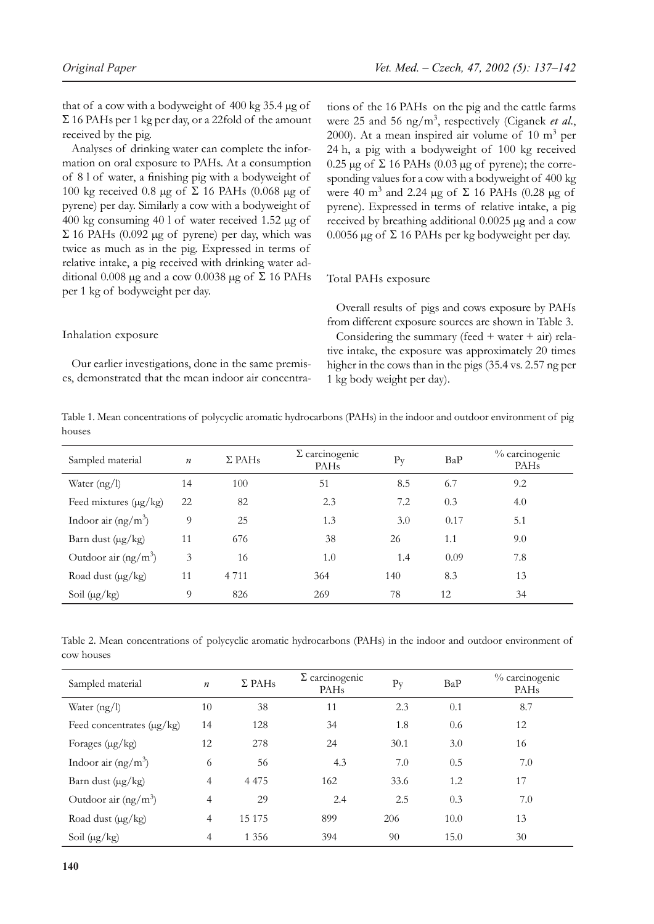that of a cow with a bodyweight of 400 kg 35.4 µg of  $\Sigma$  16 PAHs per 1 kg per day, or a 22fold of the amount received by the pig.

Analyses of drinking water can complete the information on oral exposure to PAHs. At a consumption of 8 l of water, a finishing pig with a bodyweight of 100 kg received 0.8 μg of Σ 16 PAHs (0.068 μg of pyrene) per day. Similarly a cow with a bodyweight of 400 kg consuming 40 l of water received 1.52 µg of Σ 16 PAHs (0.092 µg of pyrene) per day, which was twice as much as in the pig. Expressed in terms of relative intake, a pig received with drinking water additional 0.008 μg and a cow 0.0038 μg of Σ 16 PAHs per 1 kg of bodyweight per day.

Inhalation exposure

Our earlier investigations, done in the same premises, demonstrated that the mean indoor air concentrations of the 16 PAHs on the pig and the cattle farms were 25 and 56 ng/m<sup>3</sup> , respectively (Ciganek *et al*., 2000). At a mean inspired air volume of  $10 \text{ m}^3$  per 24 h, a pig with a bodyweight of 100 kg received 0.25 μg of Σ 16 PAHs (0.03 μg of pyrene); the corresponding values for a cow with a bodyweight of 400 kg were 40 m<sup>3</sup> and 2.24 µg of  $\Sigma$  16 PAHs (0.28 µg of pyrene). Expressed in terms of relative intake, a pig received by breathing additional 0.0025 µg and a cow 0.0056  $\mu$ g of  $\Sigma$  16 PAHs per kg bodyweight per day.

#### Total PAHs exposure

Overall results of pigs and cows exposure by PAHs from different exposure sources are shown in Table 3. Considering the summary (feed  $+$  water  $+$  air) relative intake, the exposure was approximately 20 times higher in the cows than in the pigs (35.4 vs. 2.57 ng per 1 kg body weight per day).

Table 1. Mean concentrations of polycyclic aromatic hydrocarbons (PAHs) in the indoor and outdoor environment of pig houses

| Sampled material           | $\boldsymbol{n}$ | $\Sigma$ PAH <sub>s</sub> | $\Sigma$ carcinogenic<br><b>PAHs</b> | $P_{V}$ | BaP  | % carcinogenic<br><b>PAHs</b> |
|----------------------------|------------------|---------------------------|--------------------------------------|---------|------|-------------------------------|
| Water $(ng/l)$             | 14               | 100                       | 51                                   | 8.5     | 6.7  | 9.2                           |
| Feed mixtures $(\mu g/kg)$ | 22               | 82                        | 2.3                                  | 7.2     | 0.3  | 4.0                           |
| Indoor air $(ng/m3)$       | 9                | 25                        | 1.3                                  | 3.0     | 0.17 | 5.1                           |
| Barn dust $(\mu g/kg)$     | 11               | 676                       | 38                                   | 26      | 1.1  | 9.0                           |
| Outdoor air $(ng/m3)$      | 3                | 16                        | 1.0                                  | 1.4     | 0.09 | 7.8                           |
| Road dust $(\mu g/kg)$     | 11               | 4 7 1 1                   | 364                                  | 140     | 8.3  | 13                            |
| Soil $(\mu g/kg)$          | 9                | 826                       | 269                                  | 78      | 12   | 34                            |

Table 2. Mean concentrations of polycyclic aromatic hydrocarbons (PAHs) in the indoor and outdoor environment of cow houses

| Sampled material               | $\boldsymbol{n}$ | $\Sigma$ PAH <sub>s</sub> | $\Sigma$ carcinogenic<br>PAH <sub>s</sub> | $P_{V}$ | BaP  | % carcinogenic<br>PAH <sub>s</sub> |
|--------------------------------|------------------|---------------------------|-------------------------------------------|---------|------|------------------------------------|
| Water $(ng/l)$                 | 10               | 38                        | 11                                        | 2.3     | 0.1  | 8.7                                |
| Feed concentrates $(\mu g/kg)$ | 14               | 128                       | 34                                        | 1.8     | 0.6  | 12                                 |
| Forages $(\mu g/kg)$           | 12               | 278                       | 24                                        | 30.1    | 3.0  | 16                                 |
| Indoor air $(ng/m^3)$          | 6                | 56                        | 4.3                                       | 7.0     | 0.5  | 7.0                                |
| Barn dust $(\mu g/kg)$         | $\overline{4}$   | 4 4 7 5                   | 162                                       | 33.6    | 1.2  | 17                                 |
| Outdoor air $(ng/m3)$          | $\overline{4}$   | 29                        | 2.4                                       | 2.5     | 0.3  | 7.0                                |
| Road dust $(\mu g/kg)$         | $\overline{4}$   | 15 175                    | 899                                       | 206     | 10.0 | 13                                 |
| Soil $(\mu g/kg)$              | $\overline{4}$   | 1 3 5 6                   | 394                                       | 90      | 15.0 | 30                                 |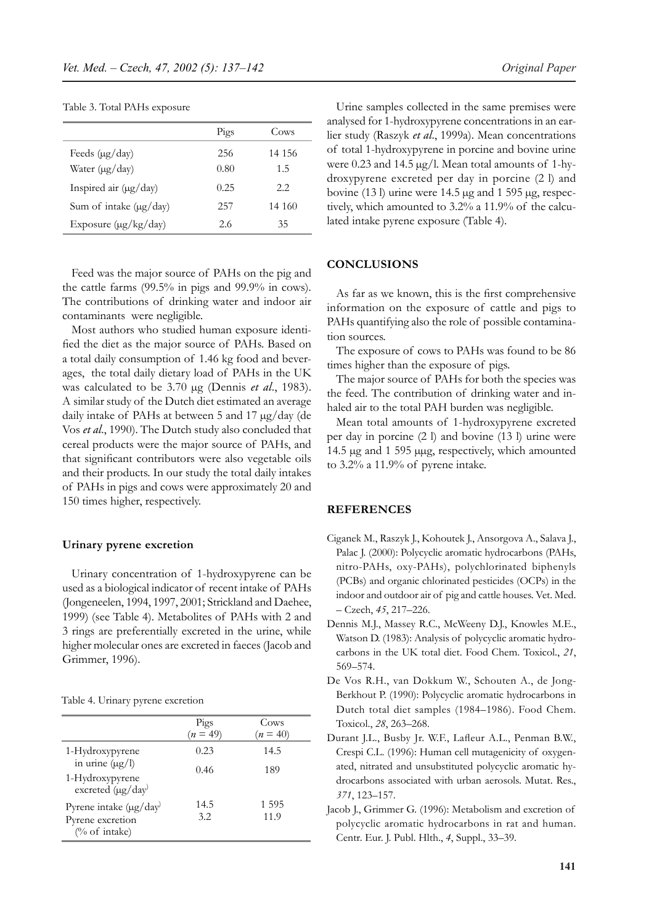Table 3. Total PAHs exposure

|                               | Pigs | Cows   |
|-------------------------------|------|--------|
| Feeds $(\mu g / day)$         | 256  | 14 156 |
| Water $(\mu g / day)$         | 0.80 | 1.5    |
| Inspired air $(\mu g / day)$  | 0.25 | 2.2.   |
| Sum of intake $(\mu g / day)$ | 257  | 14 160 |
| Exposure $(\mu g/kg/day)$     | 2.6  | 35     |

Feed was the major source of PAHs on the pig and the cattle farms (99.5% in pigs and 99.9% in cows). The contributions of drinking water and indoor air contaminants were negligible.

Most authors who studied human exposure identified the diet as the major source of PAHs. Based on a total daily consumption of 1.46 kg food and beverages, the total daily dietary load of PAHs in the UK was calculated to be 3.70 µg (Dennis *et al*., 1983). A similar study of the Dutch diet estimated an average daily intake of PAHs at between 5 and 17 µg/day (de Vos *et al*., 1990). The Dutch study also concluded that cereal products were the major source of PAHs, and that significant contributors were also vegetable oils and their products. In our study the total daily intakes of PAHs in pigs and cows were approximately 20 and 150 times higher, respectively.

## **Urinary pyrene excretion**

Urinary concentration of 1-hydroxypyrene can be used as a biological indicator of recent intake of PAHs (Jongeneelen, 1994, 1997, 2001; Strickland and Daehee, 1999) (see Table 4). Metabolites of PAHs with 2 and 3 rings are preferentially excreted in the urine, while higher molecular ones are excreted in faeces (Jacob and Grimmer, 1996).

Table 4. Urinary pyrene excretion

|                                                                               | Pigs<br>$(n = 49)$ | Cows<br>$(n = 40)$ |
|-------------------------------------------------------------------------------|--------------------|--------------------|
| 1-Hydroxypyrene                                                               | 0.23               | 14.5               |
| in urine $(\mu g/l)$<br>1-Hydroxypyrene<br>excreted (µg/day)                  | 0.46               | 189                |
| Pyrene intake $(\mu g / day)$<br>Pyrene excretion<br>$(\% \text{ of intake})$ | 14.5<br>3.2        | 1.595<br>11.9      |

Urine samples collected in the same premises were analysed for 1-hydroxypyrene concentrations in an earlier study (Raszyk *et al*., 1999a). Mean concentrations of total 1-hydroxypyrene in porcine and bovine urine were 0.23 and 14.5 µg/l. Mean total amounts of 1-hydroxypyrene excreted per day in porcine (2 l) and bovine (13 l) urine were 14.5 µg and 1 595 µg, respectively, which amounted to 3.2% a 11.9% of the calculated intake pyrene exposure (Table 4).

#### **CONCLUSIONS**

As far as we known, this is the first comprehensive information on the exposure of cattle and pigs to PAHs quantifying also the role of possible contamination sources.

The exposure of cows to PAHs was found to be 86 times higher than the exposure of pigs.

The major source of PAHs for both the species was the feed. The contribution of drinking water and inhaled air to the total PAH burden was negligible.

Mean total amounts of 1-hydroxypyrene excreted per day in porcine (2 l) and bovine (13 l) urine were 14.5 µg and 1 595 µµg, respectively, which amounted to 3.2% a 11.9% of pyrene intake.

# **REFERENCES**

- Ciganek M., Raszyk J., Kohoutek J., Ansorgova A., Salava J., Palac J. (2000): Polycyclic aromatic hydrocarbons (PAHs, nitro-PAHs, oxy-PAHs), polychlorinated biphenyls (PCBs) and organic chlorinated pesticides (OCPs) in the indoor and outdoor air of pig and cattle houses. Vet. Med. – Czech, *45*, 217–226.
- Dennis M.J., Massey R.C., McWeeny D.J., Knowles M.E., Watson D. (1983): Analysis of polycyclic aromatic hydrocarbons in the UK total diet. Food Chem. Toxicol., *21*, 569–574.
- De Vos R.H., van Dokkum W., Schouten A., de Jong-Berkhout P. (1990): Polycyclic aromatic hydrocarbons in Dutch total diet samples (1984–1986). Food Chem. Toxicol., *28*, 263–268.
- Durant J.L., Busby Jr. W.F., Lafleur A.L., Penman B.W., Crespi C.L. (1996): Human cell mutagenicity of oxygenated, nitrated and unsubstituted polycyclic aromatic hydrocarbons associated with urban aerosols. Mutat. Res., *371*, 123–157.
- Jacob J., Grimmer G. (1996): Metabolism and excretion of polycyclic aromatic hydrocarbons in rat and human. Centr. Eur. J. Publ. Hlth., *4*, Suppl., 33–39.